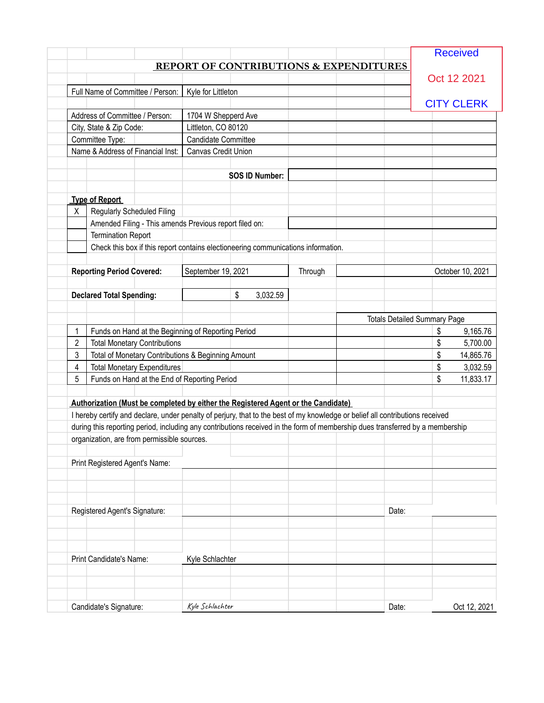|                |                                                        |                                            |                                                                                   |                                                                                   |                                                                                                                               | <b>Received</b>   |
|----------------|--------------------------------------------------------|--------------------------------------------|-----------------------------------------------------------------------------------|-----------------------------------------------------------------------------------|-------------------------------------------------------------------------------------------------------------------------------|-------------------|
|                |                                                        |                                            |                                                                                   | <b>REPORT OF CONTRIBUTIONS &amp; EXPENDITURES</b>                                 |                                                                                                                               |                   |
|                |                                                        |                                            |                                                                                   |                                                                                   |                                                                                                                               | Oct 12 2021       |
|                | Full Name of Committee / Person:                       | Kyle for Littleton                         |                                                                                   |                                                                                   |                                                                                                                               |                   |
|                | Address of Committee / Person:                         |                                            |                                                                                   |                                                                                   |                                                                                                                               | <b>CITY CLERK</b> |
|                |                                                        | 1704 W Shepperd Ave<br>Littleton, CO 80120 |                                                                                   |                                                                                   |                                                                                                                               |                   |
|                | City, State & Zip Code:<br>Committee Type:             | Candidate Committee                        |                                                                                   |                                                                                   |                                                                                                                               |                   |
|                | Name & Address of Financial Inst:                      | Canvas Credit Union                        |                                                                                   |                                                                                   |                                                                                                                               |                   |
|                |                                                        |                                            |                                                                                   |                                                                                   |                                                                                                                               |                   |
|                |                                                        |                                            | <b>SOS ID Number:</b>                                                             |                                                                                   |                                                                                                                               |                   |
|                |                                                        |                                            |                                                                                   |                                                                                   |                                                                                                                               |                   |
|                | <b>Type of Report</b>                                  |                                            |                                                                                   |                                                                                   |                                                                                                                               |                   |
| X.             | <b>Regularly Scheduled Filing</b>                      |                                            |                                                                                   |                                                                                   |                                                                                                                               |                   |
|                | Amended Filing - This amends Previous report filed on: |                                            |                                                                                   |                                                                                   |                                                                                                                               |                   |
|                | <b>Termination Report</b>                              |                                            |                                                                                   |                                                                                   |                                                                                                                               |                   |
|                |                                                        |                                            | Check this box if this report contains electioneering communications information. |                                                                                   |                                                                                                                               |                   |
|                | <b>Reporting Period Covered:</b>                       | September 19, 2021                         |                                                                                   | Through                                                                           |                                                                                                                               | October 10, 2021  |
|                |                                                        |                                            |                                                                                   |                                                                                   |                                                                                                                               |                   |
|                | <b>Declared Total Spending:</b>                        |                                            | \$<br>3,032.59                                                                    |                                                                                   |                                                                                                                               |                   |
|                |                                                        |                                            |                                                                                   |                                                                                   | <b>Totals Detailed Summary Page</b>                                                                                           |                   |
| 1              | Funds on Hand at the Beginning of Reporting Period     |                                            |                                                                                   |                                                                                   |                                                                                                                               | \$<br>9,165.76    |
| $\overline{2}$ | <b>Total Monetary Contributions</b>                    |                                            |                                                                                   |                                                                                   |                                                                                                                               | \$<br>5,700.00    |
| 3              | Total of Monetary Contributions & Beginning Amount     |                                            |                                                                                   |                                                                                   |                                                                                                                               | \$<br>14,865.76   |
| 4              | <b>Total Monetary Expenditures</b>                     |                                            |                                                                                   |                                                                                   |                                                                                                                               | \$<br>3,032.59    |
| 5              | Funds on Hand at the End of Reporting Period           |                                            |                                                                                   |                                                                                   |                                                                                                                               | \$<br>11,833.17   |
|                |                                                        |                                            |                                                                                   |                                                                                   |                                                                                                                               |                   |
|                |                                                        |                                            |                                                                                   | Authorization (Must be completed by either the Registered Agent or the Candidate) |                                                                                                                               |                   |
|                |                                                        |                                            |                                                                                   |                                                                                   | I hereby certify and declare, under penalty of perjury, that to the best of my knowledge or belief all contributions received |                   |
|                |                                                        |                                            |                                                                                   |                                                                                   | during this reporting period, including any contributions received in the form of membership dues transferred by a membership |                   |
|                | organization, are from permissible sources.            |                                            |                                                                                   |                                                                                   |                                                                                                                               |                   |
|                |                                                        |                                            |                                                                                   |                                                                                   |                                                                                                                               |                   |
|                | Print Registered Agent's Name:                         |                                            |                                                                                   |                                                                                   |                                                                                                                               |                   |
|                |                                                        |                                            |                                                                                   |                                                                                   |                                                                                                                               |                   |
|                |                                                        |                                            |                                                                                   |                                                                                   |                                                                                                                               |                   |
|                | Registered Agent's Signature:                          |                                            |                                                                                   |                                                                                   | Date:                                                                                                                         |                   |
|                |                                                        |                                            |                                                                                   |                                                                                   |                                                                                                                               |                   |
|                |                                                        |                                            |                                                                                   |                                                                                   |                                                                                                                               |                   |
|                |                                                        |                                            |                                                                                   |                                                                                   |                                                                                                                               |                   |
|                | Print Candidate's Name:                                | Kyle Schlachter                            |                                                                                   |                                                                                   |                                                                                                                               |                   |
|                |                                                        |                                            |                                                                                   |                                                                                   |                                                                                                                               |                   |
|                |                                                        |                                            |                                                                                   |                                                                                   |                                                                                                                               |                   |
|                |                                                        |                                            |                                                                                   |                                                                                   |                                                                                                                               |                   |
|                | Candidate's Signature:                                 | Kyle Schlachter                            |                                                                                   |                                                                                   | Date:                                                                                                                         | Oct 12, 2021      |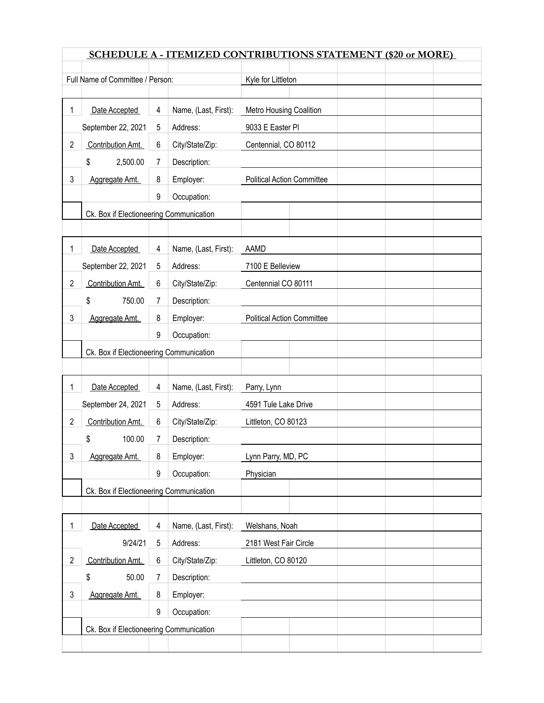|                | <b>SCHEDULE A - ITEMIZED CONTRIBUTIONS STATEMENT (\$20 or MORE)</b> |   |                      |                                   |                     |  |  |  |
|----------------|---------------------------------------------------------------------|---|----------------------|-----------------------------------|---------------------|--|--|--|
|                | Full Name of Committee / Person:                                    |   |                      | Kyle for Littleton                |                     |  |  |  |
|                |                                                                     |   |                      |                                   |                     |  |  |  |
| 1              | Date Accepted                                                       | 4 | Name, (Last, First): | Metro Housing Coalition           |                     |  |  |  |
|                | September 22, 2021                                                  | 5 | Address:             | 9033 E Easter PI                  |                     |  |  |  |
| $\overline{2}$ | Contribution Amt.                                                   | 6 | City/State/Zip:      | Centennial, CO 80112              |                     |  |  |  |
|                | 2,500.00<br>\$                                                      | 7 | Description:         |                                   |                     |  |  |  |
| 3              | Aggregate Amt.                                                      | 8 | Employer:            | <b>Political Action Committee</b> |                     |  |  |  |
|                |                                                                     | 9 | Occupation:          |                                   |                     |  |  |  |
|                | Ck. Box if Electioneering Communication                             |   |                      |                                   |                     |  |  |  |
|                |                                                                     |   |                      |                                   |                     |  |  |  |
| 1              | Date Accepted                                                       | 4 | Name, (Last, First): | AAMD                              |                     |  |  |  |
|                | September 22, 2021                                                  | 5 | Address:             | 7100 E Belleview                  |                     |  |  |  |
| $\overline{2}$ | Contribution Amt.                                                   | 6 | City/State/Zip:      | Centennial CO 80111               |                     |  |  |  |
|                | 750.00<br>\$                                                        | 7 | Description:         |                                   |                     |  |  |  |
| 3              | Aggregate Amt.                                                      | 8 | Employer:            | <b>Political Action Committee</b> |                     |  |  |  |
|                |                                                                     | 9 | Occupation:          |                                   |                     |  |  |  |
|                | Ck. Box if Electioneering Communication                             |   |                      |                                   |                     |  |  |  |
|                |                                                                     |   |                      |                                   |                     |  |  |  |
| 1              | Date Accepted                                                       | 4 | Name, (Last, First): | Parry, Lynn                       |                     |  |  |  |
|                | September 24, 2021                                                  | 5 | Address:             | 4591 Tule Lake Drive              |                     |  |  |  |
| $\overline{2}$ | Contribution Amt.                                                   | 6 | City/State/Zip:      |                                   | Littleton, CO 80123 |  |  |  |
|                | \$<br>100.00                                                        | 7 | Description:         |                                   |                     |  |  |  |
| 3              | Aggregate Amt.                                                      | 8 | Employer:            | Lynn Parry, MD, PC                |                     |  |  |  |
|                |                                                                     | 9 | Occupation:          | Physician                         |                     |  |  |  |
|                | Ck. Box if Electioneering Communication                             |   |                      |                                   |                     |  |  |  |
|                |                                                                     |   |                      |                                   |                     |  |  |  |
| 1              | Date Accepted                                                       | 4 | Name, (Last, First): | Welshans, Noah                    |                     |  |  |  |
|                | 9/24/21                                                             | 5 | Address:             | 2181 West Fair Circle             |                     |  |  |  |
| $\overline{2}$ | Contribution Amt.                                                   | 6 | City/State/Zip:      | Littleton, CO 80120               |                     |  |  |  |
|                | \$<br>50.00                                                         | 7 | Description:         |                                   |                     |  |  |  |
| 3              | Aggregate Amt.                                                      | 8 | Employer:            |                                   |                     |  |  |  |
|                |                                                                     | 9 | Occupation:          |                                   |                     |  |  |  |
|                | Ck. Box if Electioneering Communication                             |   |                      |                                   |                     |  |  |  |
|                |                                                                     |   |                      |                                   |                     |  |  |  |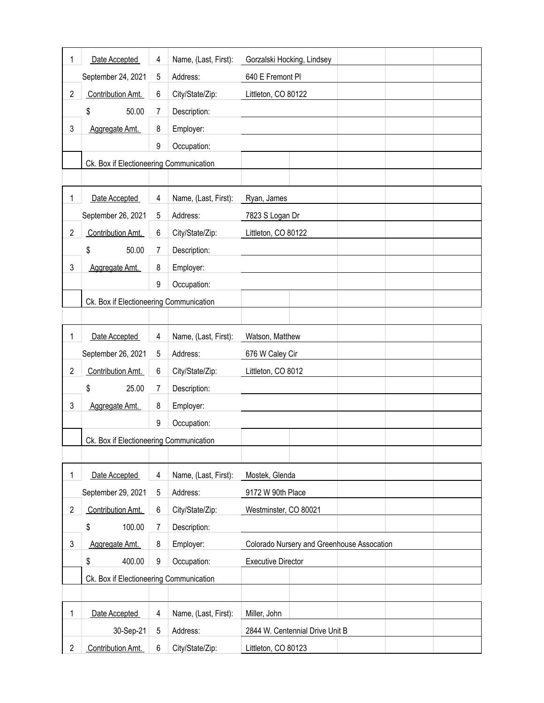| 1              | Date Accepted                           | 4 | Name, (Last, First): | Gorzalski Hocking, Lindsey                 |  |  |
|----------------|-----------------------------------------|---|----------------------|--------------------------------------------|--|--|
|                | September 24, 2021                      | 5 | Address:             | 640 E Fremont Pl                           |  |  |
| $\overline{2}$ | Contribution Amt.                       | 6 | City/State/Zip:      | Littleton, CO 80122                        |  |  |
|                | 50.00<br>Description:<br>\$<br>7        |   |                      |                                            |  |  |
| 3              | Aggregate Amt.                          | 8 | Employer:            |                                            |  |  |
|                |                                         | 9 | Occupation:          |                                            |  |  |
|                | Ck. Box if Electioneering Communication |   |                      |                                            |  |  |
|                |                                         |   |                      |                                            |  |  |
| 1              | Date Accepted                           | 4 | Name, (Last, First): | Ryan, James                                |  |  |
|                | September 26, 2021                      | 5 | Address:             | 7823 S Logan Dr                            |  |  |
| $\overline{2}$ | Contribution Amt.                       | 6 | City/State/Zip:      | Littleton, CO 80122                        |  |  |
|                | \$<br>50.00                             | 7 | Description:         |                                            |  |  |
| 3              | Aggregate Amt.                          | 8 | Employer:            |                                            |  |  |
|                |                                         | 9 | Occupation:          |                                            |  |  |
|                | Ck. Box if Electioneering Communication |   |                      |                                            |  |  |
|                |                                         |   |                      |                                            |  |  |
| 1              | Date Accepted                           | 4 | Name, (Last, First): | Watson, Matthew                            |  |  |
|                | September 26, 2021                      | 5 | Address:             | 676 W Caley Cir                            |  |  |
| $\overline{2}$ | Contribution Amt.                       | 6 | City/State/Zip:      | Littleton, CO 8012                         |  |  |
|                | \$<br>25.00                             | 7 | Description:         |                                            |  |  |
| 3              | Aggregate Amt.                          | 8 | Employer:            |                                            |  |  |
|                |                                         | 9 | Occupation:          |                                            |  |  |
|                | Ck. Box if Electioneering Communication |   |                      |                                            |  |  |
|                |                                         |   |                      |                                            |  |  |
| 1              | Date Accepted                           | 4 | Name, (Last, First): | Mostek, Glenda                             |  |  |
|                | September 29, 2021                      | 5 | Address:             | 9172 W 90th Place                          |  |  |
| $\overline{2}$ | Contribution Amt.                       | 6 | City/State/Zip:      | Westminster, CO 80021                      |  |  |
|                | \$<br>100.00                            | 7 | Description:         |                                            |  |  |
| 3              | Aggregate Amt.                          | 8 | Employer:            | Colorado Nursery and Greenhouse Assocation |  |  |
|                | \$<br>400.00                            | 9 | Occupation:          | <b>Executive Director</b>                  |  |  |
|                | Ck. Box if Electioneering Communication |   |                      |                                            |  |  |
|                |                                         |   |                      |                                            |  |  |
| 1              | Date Accepted                           | 4 | Name, (Last, First): | Miller, John                               |  |  |
|                | 30-Sep-21                               | 5 | Address:             | 2844 W. Centennial Drive Unit B            |  |  |
| $\overline{c}$ | Contribution Amt.                       | 6 | City/State/Zip:      | Littleton, CO 80123                        |  |  |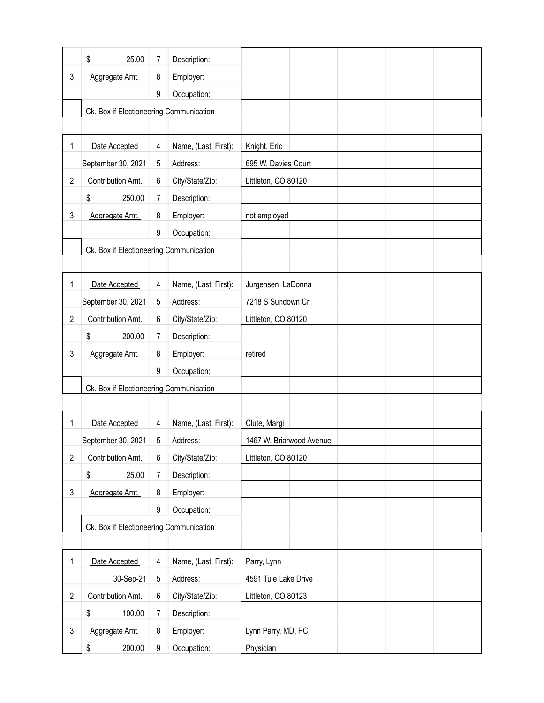|                | \$<br>25.00                             | 7           | Description:         |                          |
|----------------|-----------------------------------------|-------------|----------------------|--------------------------|
| 3              | Aggregate Amt.                          | 8           | Employer:            |                          |
|                |                                         | 9           | Occupation:          |                          |
|                | Ck. Box if Electioneering Communication |             |                      |                          |
|                |                                         |             |                      |                          |
| 1              | Date Accepted                           | 4           | Name, (Last, First): | Knight, Eric             |
|                | September 30, 2021                      | 5           | Address:             | 695 W. Davies Court      |
| $\overline{c}$ | Contribution Amt.                       | 6           | City/State/Zip:      | Littleton, CO 80120      |
|                | \$<br>250.00                            | 7           | Description:         |                          |
| 3              | Aggregate Amt.                          | 8           | Employer:            | not employed             |
|                |                                         | 9           | Occupation:          |                          |
|                | Ck. Box if Electioneering Communication |             |                      |                          |
|                |                                         |             |                      |                          |
| 1              | Date Accepted                           | 4           | Name, (Last, First): | Jurgensen, LaDonna       |
|                | September 30, 2021                      | 5           | Address:             | 7218 S Sundown Cr        |
| $\overline{c}$ | Contribution Amt.                       | 6           | City/State/Zip:      | Littleton, CO 80120      |
|                | \$<br>200.00                            | 7           | Description:         |                          |
| 3              | Aggregate Amt.                          | 8           | Employer:            | retired                  |
|                |                                         | 9           | Occupation:          |                          |
|                | Ck. Box if Electioneering Communication |             |                      |                          |
|                |                                         |             |                      |                          |
| 1              | Date Accepted                           | 4           | Name, (Last, First): | Clute, Margi             |
|                | September 30, 2021                      | 5           | Address:             | 1467 W. Briarwood Avenue |
| $\overline{2}$ | Contribution Amt.                       | 6           | City/State/Zip:      | Littleton, CO 80120      |
|                | \$<br>25.00                             | 7           | Description:         |                          |
| 3              | Aggregate Amt.                          | 8           | Employer:            |                          |
|                |                                         | 9           | Occupation:          |                          |
|                | Ck. Box if Electioneering Communication |             |                      |                          |
|                |                                         |             |                      |                          |
| 1              | Date Accepted                           | 4           | Name, (Last, First): | Parry, Lynn              |
|                | 30-Sep-21                               | $\,$ 5 $\,$ | Address:             | 4591 Tule Lake Drive     |
| $\overline{2}$ | Contribution Amt.                       | 6           | City/State/Zip:      | Littleton, CO 80123      |
|                | \$<br>100.00                            | 7           | Description:         |                          |
| 3              | Aggregate Amt.                          | 8           | Employer:            | Lynn Parry, MD, PC       |
|                | \$<br>200.00                            | 9           | Occupation:          | Physician                |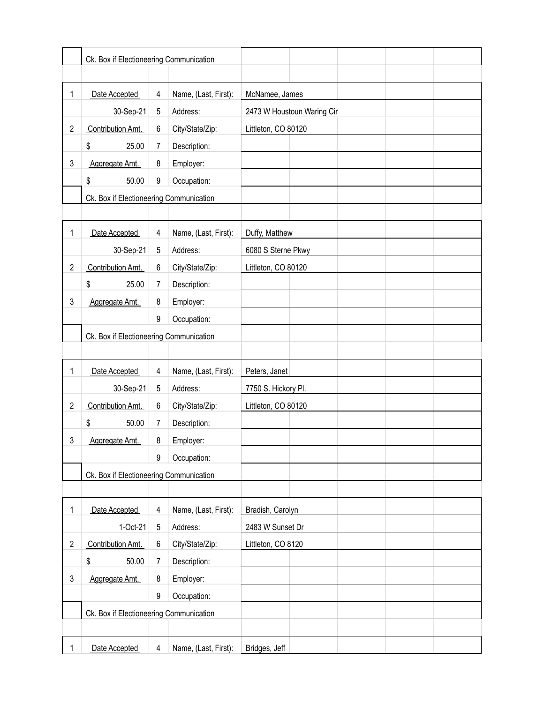|                | Ck. Box if Electioneering Communication |   |                      |                            |  |  |
|----------------|-----------------------------------------|---|----------------------|----------------------------|--|--|
|                |                                         |   |                      |                            |  |  |
| 1              | Date Accepted                           | 4 | Name, (Last, First): | McNamee, James             |  |  |
|                | 30-Sep-21                               | 5 | Address:             | 2473 W Houstoun Waring Cir |  |  |
| $\overline{c}$ | Contribution Amt.                       | 6 | City/State/Zip:      | Littleton, CO 80120        |  |  |
|                | \$<br>25.00                             | 7 | Description:         |                            |  |  |
| 3              | Aggregate Amt.                          | 8 | Employer:            |                            |  |  |
|                | \$<br>50.00                             | 9 | Occupation:          |                            |  |  |
|                | Ck. Box if Electioneering Communication |   |                      |                            |  |  |
|                |                                         |   |                      |                            |  |  |
| 1              | Date Accepted                           | 4 | Name, (Last, First): | Duffy, Matthew             |  |  |
|                | 30-Sep-21                               | 5 | Address:             | 6080 S Sterne Pkwy         |  |  |
| $\overline{c}$ | Contribution Amt.                       | 6 | City/State/Zip:      | Littleton, CO 80120        |  |  |
|                | \$<br>25.00                             | 7 | Description:         |                            |  |  |
| 3              | Aggregate Amt.                          | 8 | Employer:            |                            |  |  |
|                |                                         | 9 | Occupation:          |                            |  |  |
|                | Ck. Box if Electioneering Communication |   |                      |                            |  |  |
|                |                                         |   |                      |                            |  |  |
| 1              | Date Accepted                           | 4 | Name, (Last, First): | Peters, Janet              |  |  |
|                | 30-Sep-21                               | 5 | Address:             | 7750 S. Hickory Pl.        |  |  |
| $\overline{c}$ | Contribution Amt.                       | 6 | City/State/Zip:      | Littleton, CO 80120        |  |  |
|                | \$<br>50.00                             | 7 | Description:         |                            |  |  |
| 3              | Aggregate Amt.                          | 8 | Employer:            |                            |  |  |
|                |                                         | 9 | Occupation:          |                            |  |  |
|                | Ck. Box if Electioneering Communication |   |                      |                            |  |  |
|                |                                         |   |                      |                            |  |  |
| 1              | Date Accepted                           | 4 | Name, (Last, First): | Bradish, Carolyn           |  |  |
|                | 1-Oct-21                                | 5 | Address:             | 2483 W Sunset Dr           |  |  |
| $\overline{c}$ | Contribution Amt.                       | 6 | City/State/Zip:      | Littleton, CO 8120         |  |  |
|                | \$<br>50.00                             | 7 | Description:         |                            |  |  |
| 3              | Aggregate Amt.                          | 8 | Employer:            |                            |  |  |
|                |                                         | 9 | Occupation:          |                            |  |  |
|                | Ck. Box if Electioneering Communication |   |                      |                            |  |  |
|                |                                         |   |                      |                            |  |  |
| 1              | Date Accepted                           | 4 | Name, (Last, First): | Bridges, Jeff              |  |  |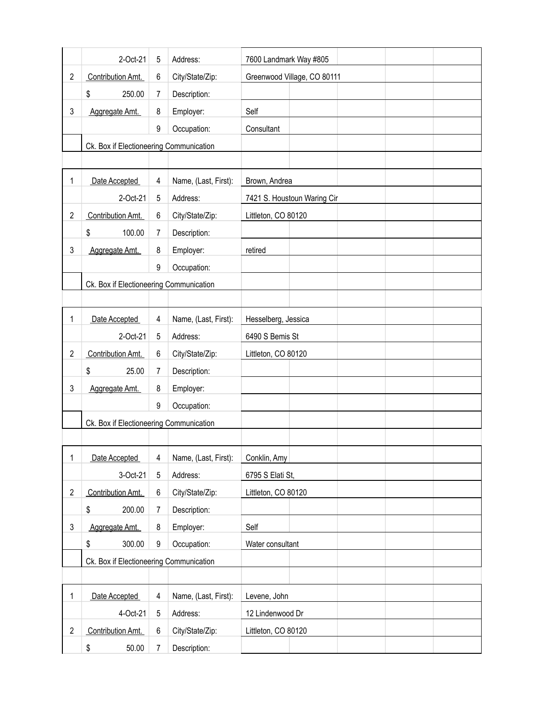|                | 2-Oct-21                                | 5 | Address:             | 7600 Landmark Way #805      |  |  |
|----------------|-----------------------------------------|---|----------------------|-----------------------------|--|--|
| $\overline{2}$ | Contribution Amt.                       | 6 | City/State/Zip:      | Greenwood Village, CO 80111 |  |  |
|                | \$<br>250.00                            | 7 | Description:         |                             |  |  |
| 3              | Aggregate Amt.                          | 8 | Employer:            | Self                        |  |  |
|                |                                         | 9 | Occupation:          | Consultant                  |  |  |
|                | Ck. Box if Electioneering Communication |   |                      |                             |  |  |
|                |                                         |   |                      |                             |  |  |
| 1              | Date Accepted                           | 4 | Name, (Last, First): | Brown, Andrea               |  |  |
|                | 2-Oct-21                                | 5 | Address:             | 7421 S. Houstoun Waring Cir |  |  |
| 2              | Contribution Amt.                       | 6 | City/State/Zip:      | Littleton, CO 80120         |  |  |
|                | \$<br>100.00                            | 7 | Description:         |                             |  |  |
| 3              | Aggregate Amt.                          | 8 | Employer:            | retired                     |  |  |
|                |                                         | 9 | Occupation:          |                             |  |  |
|                | Ck. Box if Electioneering Communication |   |                      |                             |  |  |
|                |                                         |   |                      |                             |  |  |
| 1              | Date Accepted                           | 4 | Name, (Last, First): | Hesselberg, Jessica         |  |  |
|                | 2-Oct-21                                | 5 | Address:             | 6490 S Bemis St             |  |  |
| 2              | Contribution Amt.                       | 6 | City/State/Zip:      | Littleton, CO 80120         |  |  |
|                | \$<br>25.00                             | 7 | Description:         |                             |  |  |
| 3              | Aggregate Amt.                          | 8 | Employer:            |                             |  |  |
|                |                                         | 9 | Occupation:          |                             |  |  |
|                | Ck. Box if Electioneering Communication |   |                      |                             |  |  |
|                |                                         |   |                      |                             |  |  |
| 1              | Date Accepted                           | 4 | Name, (Last, First): | Conklin, Amy                |  |  |
|                | 3-Oct-21                                | 5 | Address:             | 6795 S Elati St,            |  |  |
| $\overline{2}$ | Contribution Amt.                       | 6 | City/State/Zip:      | Littleton, CO 80120         |  |  |
|                | \$<br>200.00                            | 7 | Description:         |                             |  |  |
| 3              | Aggregate Amt.                          | 8 | Employer:            | Self                        |  |  |
|                | \$<br>300.00                            | 9 | Occupation:          | Water consultant            |  |  |
|                | Ck. Box if Electioneering Communication |   |                      |                             |  |  |
|                |                                         |   |                      |                             |  |  |
| 1              | Date Accepted                           | 4 | Name, (Last, First): | Levene, John                |  |  |
|                | 4-Oct-21                                | 5 | Address:             | 12 Lindenwood Dr            |  |  |
| $\overline{c}$ | Contribution Amt.                       | 6 | City/State/Zip:      | Littleton, CO 80120         |  |  |
|                | \$<br>50.00                             | 7 | Description:         |                             |  |  |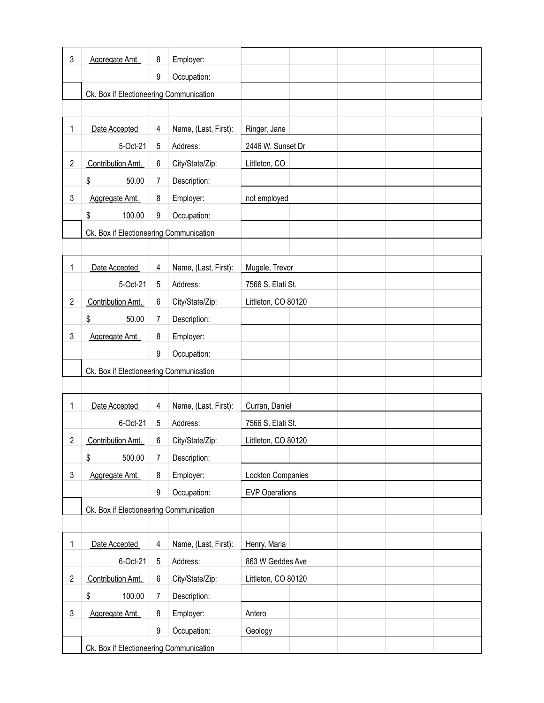| 3                         | Aggregate Amt.                          | 8 | Employer:            |                       |
|---------------------------|-----------------------------------------|---|----------------------|-----------------------|
|                           |                                         | 9 | Occupation:          |                       |
|                           | Ck. Box if Electioneering Communication |   |                      |                       |
|                           |                                         |   |                      |                       |
| 1                         | Date Accepted                           | 4 | Name, (Last, First): | Ringer, Jane          |
|                           | 5-Oct-21                                | 5 | Address:             | 2446 W. Sunset Dr     |
| $\overline{2}$            | Contribution Amt.                       | 6 | City/State/Zip:      | Littleton, CO         |
|                           | \$<br>50.00                             | 7 | Description:         |                       |
| 3                         | Aggregate Amt.                          | 8 | Employer:            | not employed          |
|                           | \$<br>100.00                            | 9 | Occupation:          |                       |
|                           | Ck. Box if Electioneering Communication |   |                      |                       |
|                           |                                         |   |                      |                       |
| 1                         | Date Accepted                           | 4 | Name, (Last, First): | Mugele, Trevor        |
|                           | 5-Oct-21                                | 5 | Address:             | 7566 S. Elati St.     |
| $\overline{2}$            | Contribution Amt.                       | 6 | City/State/Zip:      | Littleton, CO 80120   |
|                           | \$<br>50.00                             | 7 | Description:         |                       |
| 3                         | Aggregate Amt.                          | 8 | Employer:            |                       |
|                           |                                         | 9 | Occupation:          |                       |
|                           | Ck. Box if Electioneering Communication |   |                      |                       |
|                           |                                         |   |                      |                       |
| 1                         | Date Accepted                           | 4 | Name, (Last, First): | Curran, Daniel        |
|                           | 6-Oct-21                                | 5 | Address:             | 7566 S. Elati St.     |
| 2                         | Contribution Amt.                       | 6 | City/State/Zip:      | Littleton, CO 80120   |
|                           | \$<br>500.00                            | 7 | Description:         |                       |
| 3                         | Aggregate Amt.                          | 8 | Employer:            | Lockton Companies     |
|                           |                                         | 9 | Occupation:          | <b>EVP Operations</b> |
|                           | Ck. Box if Electioneering Communication |   |                      |                       |
|                           |                                         |   |                      |                       |
| 1                         | Date Accepted                           | 4 | Name, (Last, First): | Henry, Maria          |
|                           | 6-Oct-21                                | 5 | Address:             | 863 W Geddes Ave      |
| $\overline{2}$            | Contribution Amt.                       | 6 | City/State/Zip:      | Littleton, CO 80120   |
|                           | \$<br>100.00                            | 7 | Description:         |                       |
| $\ensuremath{\mathsf{3}}$ | Aggregate Amt.                          | 8 | Employer:            | Antero                |
|                           |                                         | 9 | Occupation:          | Geology               |
|                           | Ck. Box if Electioneering Communication |   |                      |                       |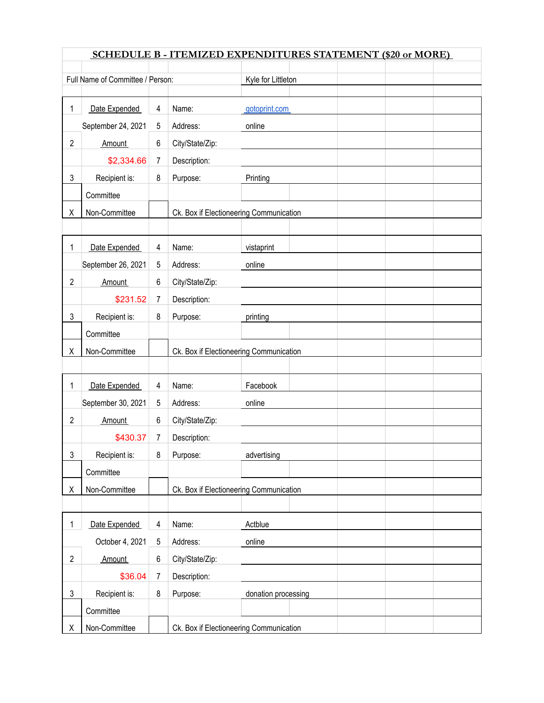|                | <b>SCHEDULE B - ITEMIZED EXPENDITURES STATEMENT (\$20 or MORE)</b> |   |                                         |                     |  |  |  |  |
|----------------|--------------------------------------------------------------------|---|-----------------------------------------|---------------------|--|--|--|--|
|                | Full Name of Committee / Person:                                   |   |                                         | Kyle for Littleton  |  |  |  |  |
|                |                                                                    |   |                                         |                     |  |  |  |  |
| 1              | Date Expended                                                      | 4 | Name:                                   | gotoprint.com       |  |  |  |  |
|                | September 24, 2021                                                 | 5 | Address:                                | online              |  |  |  |  |
| 2              | Amount                                                             | 6 | City/State/Zip:                         |                     |  |  |  |  |
|                | \$2,334.66                                                         | 7 | Description:                            |                     |  |  |  |  |
| 3              | Recipient is:                                                      | 8 | Purpose:                                | Printing            |  |  |  |  |
|                | Committee                                                          |   |                                         |                     |  |  |  |  |
| Χ              | Non-Committee                                                      |   | Ck. Box if Electioneering Communication |                     |  |  |  |  |
|                |                                                                    |   |                                         |                     |  |  |  |  |
| 1              | Date Expended                                                      | 4 | Name:                                   | vistaprint          |  |  |  |  |
|                | September 26, 2021                                                 | 5 | Address:                                | online              |  |  |  |  |
| 2              | <b>Amount</b>                                                      | 6 | City/State/Zip:                         |                     |  |  |  |  |
|                | \$231.52                                                           | 7 | Description:                            |                     |  |  |  |  |
| 3              | Recipient is:                                                      | 8 | Purpose:                                | printing            |  |  |  |  |
|                | Committee                                                          |   |                                         |                     |  |  |  |  |
| Χ              | Non-Committee                                                      |   | Ck. Box if Electioneering Communication |                     |  |  |  |  |
|                |                                                                    |   |                                         |                     |  |  |  |  |
|                |                                                                    |   |                                         | Facebook            |  |  |  |  |
| 1              | Date Expended                                                      | 4 | Name:                                   |                     |  |  |  |  |
|                | September 30, 2021                                                 | 5 | Address:                                | online              |  |  |  |  |
| 2              | <b>Amount</b>                                                      | 6 | City/State/Zip:                         |                     |  |  |  |  |
|                | \$430.37                                                           | 7 | Description:                            |                     |  |  |  |  |
| 3              | Recipient is:                                                      | 8 | Purpose:                                | advertising         |  |  |  |  |
|                | Committee                                                          |   |                                         |                     |  |  |  |  |
| Χ              | Non-Committee                                                      |   | Ck. Box if Electioneering Communication |                     |  |  |  |  |
|                |                                                                    |   |                                         |                     |  |  |  |  |
| 1              | Date Expended                                                      | 4 | Name:                                   | Actblue             |  |  |  |  |
|                | October 4, 2021                                                    | 5 | Address:                                | online              |  |  |  |  |
| $\overline{c}$ | <b>Amount</b>                                                      | 6 | City/State/Zip:                         |                     |  |  |  |  |
|                | \$36.04                                                            | 7 | Description:                            |                     |  |  |  |  |
| 3              | Recipient is:                                                      | 8 | Purpose:                                | donation processing |  |  |  |  |
|                | Committee                                                          |   |                                         |                     |  |  |  |  |
| Χ              | Non-Committee                                                      |   | Ck. Box if Electioneering Communication |                     |  |  |  |  |